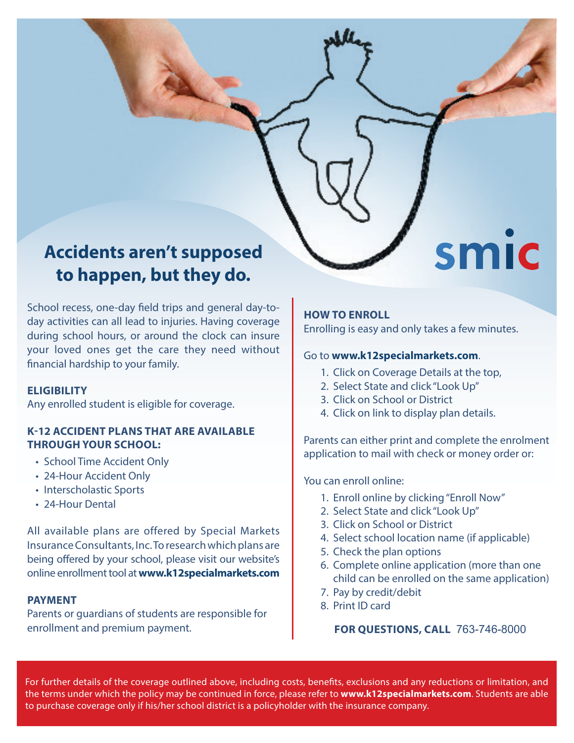# **Accidents aren't supposed to happen, but they do.**

School recess, one-day field trips and general day-today activities can all lead to injuries. Having coverage during school hours, or around the clock can insure your loved ones get the care they need without financial hardship to your family.

#### **ELIGIBILITY**

Any enrolled student is eligible for coverage.

# **K-12 ACCIDENT PLANS THAT ARE AVAILABLE THROUGH YOUR SCHOOL:**

- School Time Accident Only
- 24-Hour Accident Only
- Interscholastic Sports
- 24-Hour Dental

All available plans are offered by Special Markets Insurance Consultants, Inc. To research which plans are being offered by your school, please visit our website's online enrollment tool at **www.k12specialmarkets.com**

# **PAYMENT**

Parents or guardians of students are responsible for enrollment and premium payment.

# **HOW TO ENROLL**

Enrolling is easy and only takes a few minutes.

smic

# Go to **www.k12specialmarkets.com**.

- 1. Click on Coverage Details at the top,
- 2. Select State and click "Look Up"
- 3. Click on School or District
- 4. Click on link to display plan details.

Parents can either print and complete the enrolment application to mail with check or money order or:

You can enroll online:

- 1. Enroll online by clicking "Enroll Now"
- 2. Select State and click "Look Up"
- 3. Click on School or District
- 4. Select school location name (if applicable)
- 5. Check the plan options
- 6. Complete online application (more than one child can be enrolled on the same application)
- 7. Pay by credit/debit
- 8. Print ID card

# **FOR QUESTIONS, CALL 763-746-8000**

For further details of the coverage outlined above, including costs, benefits, exclusions and any reductions or limitation, and the terms under which the policy may be continued in force, please refer to **www.k12specialmarkets.com**. Students are able to purchase coverage only if his/her school district is a policyholder with the insurance company.